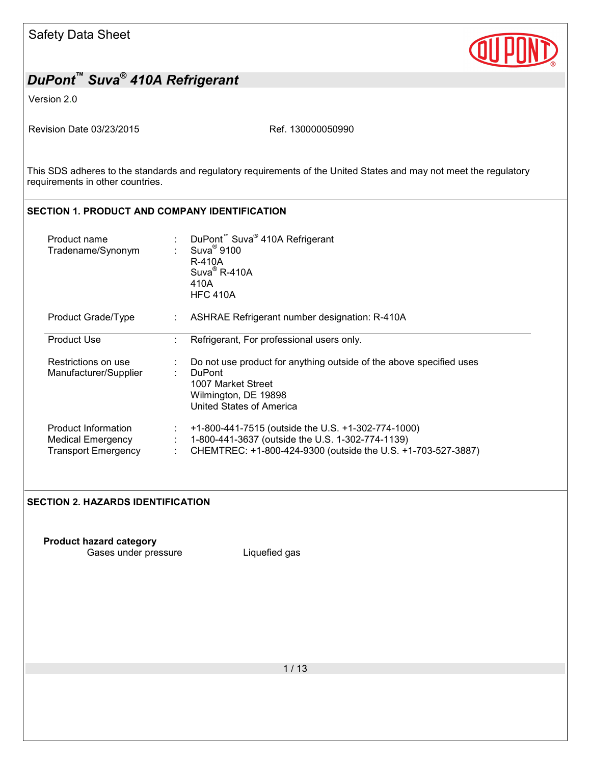

Version 2.0

Revision Date 03/23/2015 Revision Date 03/23/2015

This SDS adheres to the standards and regulatory requirements of the United States and may not meet the regulatory requirements in other countries.

# **SECTION 1. PRODUCT AND COMPANY IDENTIFICATION**

| Product name<br>Tradename/Synonym                                      | DuPont <sup>™</sup> Suva <sup>®</sup> 410A Refrigerant<br>$Suva^{\circledR}$ 9100<br>R-410A<br>$Suva^{\circledR}$ R-410A<br>410A<br><b>HFC 410A</b>                    |
|------------------------------------------------------------------------|------------------------------------------------------------------------------------------------------------------------------------------------------------------------|
| Product Grade/Type                                                     | ASHRAE Refrigerant number designation: R-410A                                                                                                                          |
| <b>Product Use</b>                                                     | Refrigerant, For professional users only.                                                                                                                              |
| Restrictions on use<br>Manufacturer/Supplier                           | Do not use product for anything outside of the above specified uses<br><b>DuPont</b><br>1007 Market Street<br>Wilmington, DE 19898<br>United States of America         |
| Product Information<br>Medical Emergency<br><b>Transport Emergency</b> | +1-800-441-7515 (outside the U.S. +1-302-774-1000)<br>1-800-441-3637 (outside the U.S. 1-302-774-1139)<br>CHEMTREC: +1-800-424-9300 (outside the U.S. +1-703-527-3887) |

#### **SECTION 2. HAZARDS IDENTIFICATION**

**Product hazard category**

Gases under pressure Liquefied gas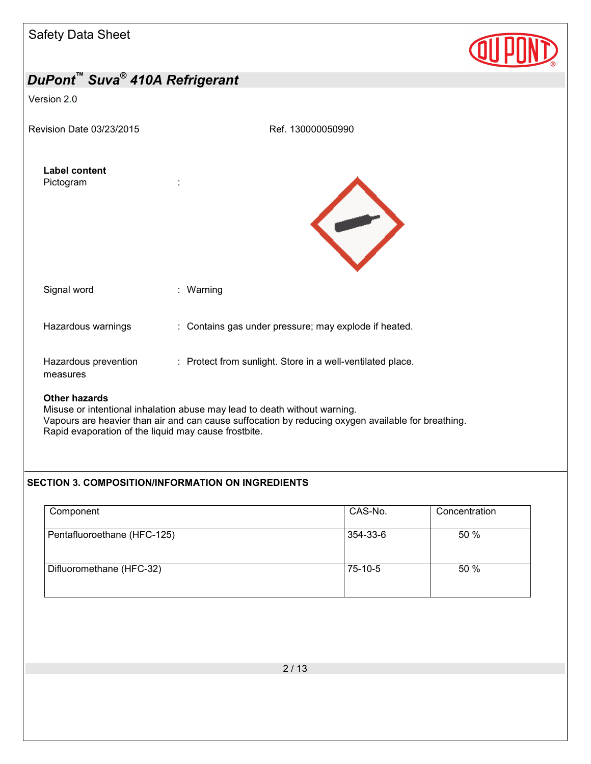| <b>Safety Data Sheet</b>          |                                                                           |  |
|-----------------------------------|---------------------------------------------------------------------------|--|
| DuPont™ Suva® 410A Refrigerant    |                                                                           |  |
| Version 2.0                       |                                                                           |  |
| Revision Date 03/23/2015          | Ref. 130000050990                                                         |  |
| <b>Label content</b><br>Pictogram |                                                                           |  |
| Signal word                       | : Warning                                                                 |  |
| Hazardous warnings                | : Contains gas under pressure; may explode if heated.                     |  |
| Hazardous prevention<br>measures  | : Protect from sunlight. Store in a well-ventilated place.                |  |
| <b>Other hazards</b>              | Misuse or intentional inhalation abuse may lead to death without warning. |  |

Misuse or intentional inhalation abuse may lead to death without warning. Vapours are heavier than air and can cause suffocation by reducing oxygen available for breathing. Rapid evaporation of the liquid may cause frostbite.

#### **SECTION 3. COMPOSITION/INFORMATION ON INGREDIENTS**

| Component                   | CAS-No.   | Concentration |
|-----------------------------|-----------|---------------|
| Pentafluoroethane (HFC-125) | 354-33-6  | 50 %          |
| Difluoromethane (HFC-32)    | $75-10-5$ | 50 %          |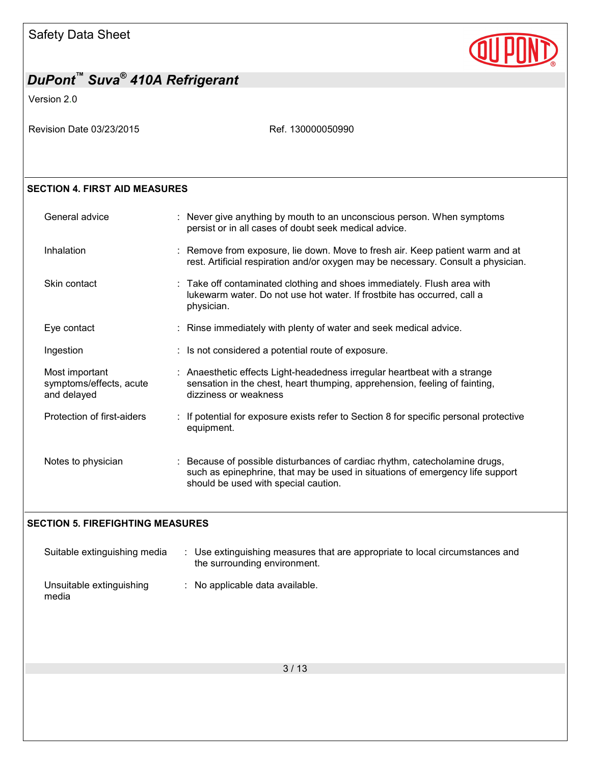

Version 2.0

Revision Date 03/23/2015 Ref. 130000050990

#### **SECTION 4. FIRST AID MEASURES**

| General advice                                           | : Never give anything by mouth to an unconscious person. When symptoms<br>persist or in all cases of doubt seek medical advice.                                                                     |
|----------------------------------------------------------|-----------------------------------------------------------------------------------------------------------------------------------------------------------------------------------------------------|
| Inhalation                                               | : Remove from exposure, lie down. Move to fresh air. Keep patient warm and at<br>rest. Artificial respiration and/or oxygen may be necessary. Consult a physician.                                  |
| Skin contact                                             | : Take off contaminated clothing and shoes immediately. Flush area with<br>lukewarm water. Do not use hot water. If frostbite has occurred, call a<br>physician.                                    |
| Eye contact                                              | : Rinse immediately with plenty of water and seek medical advice.                                                                                                                                   |
| Ingestion                                                | : Is not considered a potential route of exposure.                                                                                                                                                  |
| Most important<br>symptoms/effects, acute<br>and delayed | : Anaesthetic effects Light-headedness irregular heartbeat with a strange<br>sensation in the chest, heart thumping, apprehension, feeling of fainting,<br>dizziness or weakness                    |
| Protection of first-aiders                               | : If potential for exposure exists refer to Section 8 for specific personal protective<br>equipment.                                                                                                |
| Notes to physician                                       | : Because of possible disturbances of cardiac rhythm, catecholamine drugs,<br>such as epinephrine, that may be used in situations of emergency life support<br>should be used with special caution. |

#### **SECTION 5. FIREFIGHTING MEASURES**

| Suitable extinguishing media      | : Use extinguishing measures that are appropriate to local circumstances and<br>the surrounding environment. |  |
|-----------------------------------|--------------------------------------------------------------------------------------------------------------|--|
| Unsuitable extinguishing<br>media | : No applicable data available.                                                                              |  |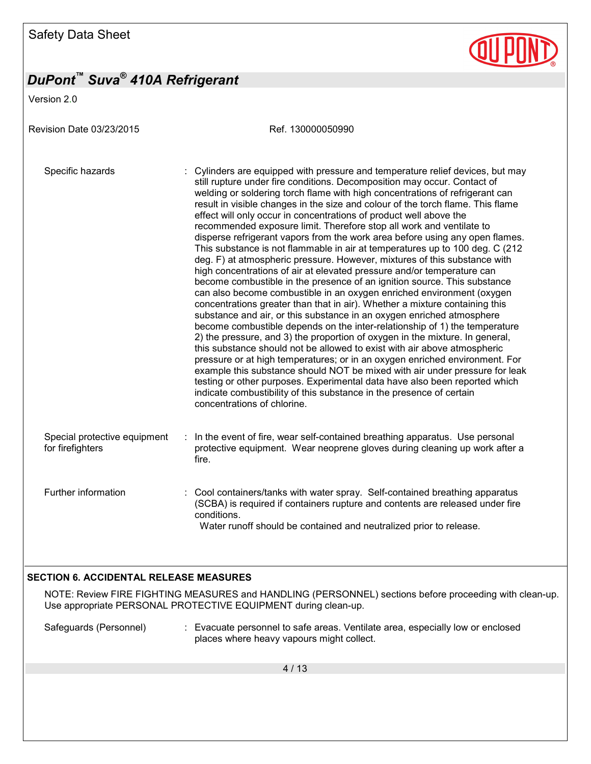Version 2.0

Revision Date 03/23/2015 Ref. 130000050990 Specific hazards : Cylinders are equipped with pressure and temperature relief devices, but may still rupture under fire conditions. Decomposition may occur. Contact of welding or soldering torch flame with high concentrations of refrigerant can result in visible changes in the size and colour of the torch flame. This flame effect will only occur in concentrations of product well above the recommended exposure limit. Therefore stop all work and ventilate to disperse refrigerant vapors from the work area before using any open flames. This substance is not flammable in air at temperatures up to 100 deg. C (212 deg. F) at atmospheric pressure. However, mixtures of this substance with high concentrations of air at elevated pressure and/or temperature can become combustible in the presence of an ignition source. This substance can also become combustible in an oxygen enriched environment (oxygen concentrations greater than that in air). Whether a mixture containing this substance and air, or this substance in an oxygen enriched atmosphere become combustible depends on the inter-relationship of 1) the temperature 2) the pressure, and 3) the proportion of oxygen in the mixture. In general, this substance should not be allowed to exist with air above atmospheric pressure or at high temperatures; or in an oxygen enriched environment. For example this substance should NOT be mixed with air under pressure for leak testing or other purposes. Experimental data have also been reported which indicate combustibility of this substance in the presence of certain concentrations of chlorine. Special protective equipment for firefighters : In the event of fire, wear self-contained breathing apparatus. Use personal protective equipment. Wear neoprene gloves during cleaning up work after a fire. Further information : Cool containers/tanks with water spray. Self-contained breathing apparatus (SCBA) is required if containers rupture and contents are released under fire conditions. Water runoff should be contained and neutralized prior to release. **SECTION 6. ACCIDENTAL RELEASE MEASURES** 

NOTE: Review FIRE FIGHTING MEASURES and HANDLING (PERSONNEL) sections before proceeding with clean-up. Use appropriate PERSONAL PROTECTIVE EQUIPMENT during clean-up.

Safeguards (Personnel) : Evacuate personnel to safe areas. Ventilate area, especially low or enclosed places where heavy vapours might collect.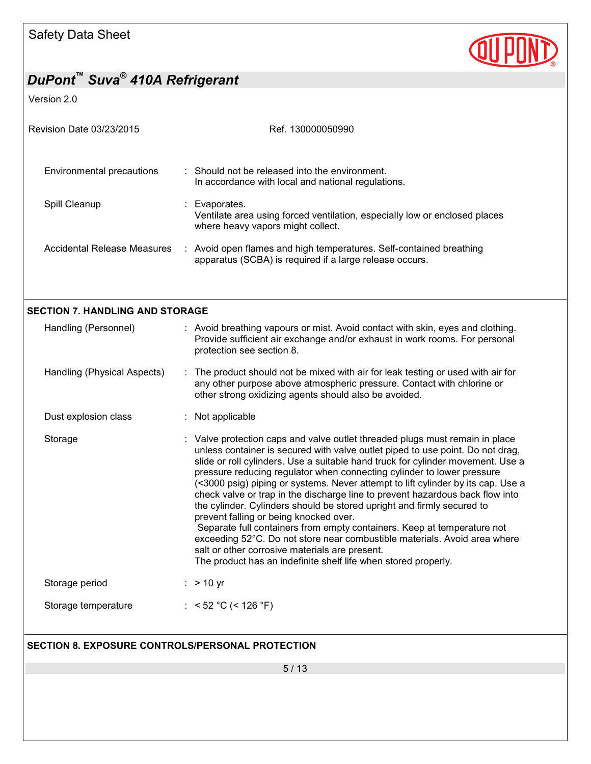

Version 2.0

| Revision Date 03/23/2015                                | Ref. 130000050990                                                                                                                                                                                                                                                                                                                                                                                                                                                                                                                                                                                                                                                                                                                                                                                                                                                                                |
|---------------------------------------------------------|--------------------------------------------------------------------------------------------------------------------------------------------------------------------------------------------------------------------------------------------------------------------------------------------------------------------------------------------------------------------------------------------------------------------------------------------------------------------------------------------------------------------------------------------------------------------------------------------------------------------------------------------------------------------------------------------------------------------------------------------------------------------------------------------------------------------------------------------------------------------------------------------------|
| Environmental precautions                               | Should not be released into the environment.<br>In accordance with local and national regulations.                                                                                                                                                                                                                                                                                                                                                                                                                                                                                                                                                                                                                                                                                                                                                                                               |
| Spill Cleanup                                           | Evaporates.<br>Ventilate area using forced ventilation, especially low or enclosed places<br>where heavy vapors might collect.                                                                                                                                                                                                                                                                                                                                                                                                                                                                                                                                                                                                                                                                                                                                                                   |
| Accidental Release Measures                             | : Avoid open flames and high temperatures. Self-contained breathing<br>apparatus (SCBA) is required if a large release occurs.                                                                                                                                                                                                                                                                                                                                                                                                                                                                                                                                                                                                                                                                                                                                                                   |
|                                                         |                                                                                                                                                                                                                                                                                                                                                                                                                                                                                                                                                                                                                                                                                                                                                                                                                                                                                                  |
| <b>SECTION 7. HANDLING AND STORAGE</b>                  |                                                                                                                                                                                                                                                                                                                                                                                                                                                                                                                                                                                                                                                                                                                                                                                                                                                                                                  |
| Handling (Personnel)                                    | : Avoid breathing vapours or mist. Avoid contact with skin, eyes and clothing.<br>Provide sufficient air exchange and/or exhaust in work rooms. For personal<br>protection see section 8.                                                                                                                                                                                                                                                                                                                                                                                                                                                                                                                                                                                                                                                                                                        |
| Handling (Physical Aspects)                             | : The product should not be mixed with air for leak testing or used with air for<br>any other purpose above atmospheric pressure. Contact with chlorine or<br>other strong oxidizing agents should also be avoided.                                                                                                                                                                                                                                                                                                                                                                                                                                                                                                                                                                                                                                                                              |
| Dust explosion class                                    | : Not applicable                                                                                                                                                                                                                                                                                                                                                                                                                                                                                                                                                                                                                                                                                                                                                                                                                                                                                 |
| Storage                                                 | : Valve protection caps and valve outlet threaded plugs must remain in place<br>unless container is secured with valve outlet piped to use point. Do not drag,<br>slide or roll cylinders. Use a suitable hand truck for cylinder movement. Use a<br>pressure reducing regulator when connecting cylinder to lower pressure<br>(<3000 psig) piping or systems. Never attempt to lift cylinder by its cap. Use a<br>check valve or trap in the discharge line to prevent hazardous back flow into<br>the cylinder. Cylinders should be stored upright and firmly secured to<br>prevent falling or being knocked over.<br>Separate full containers from empty containers. Keep at temperature not<br>exceeding 52°C. Do not store near combustible materials. Avoid area where<br>salt or other corrosive materials are present.<br>The product has an indefinite shelf life when stored properly. |
| Storage period                                          | $:$ > 10 yr                                                                                                                                                                                                                                                                                                                                                                                                                                                                                                                                                                                                                                                                                                                                                                                                                                                                                      |
| Storage temperature                                     | : < 52 °C (< 126 °F)                                                                                                                                                                                                                                                                                                                                                                                                                                                                                                                                                                                                                                                                                                                                                                                                                                                                             |
| <b>SECTION 8. EXPOSURE CONTROLS/PERSONAL PROTECTION</b> |                                                                                                                                                                                                                                                                                                                                                                                                                                                                                                                                                                                                                                                                                                                                                                                                                                                                                                  |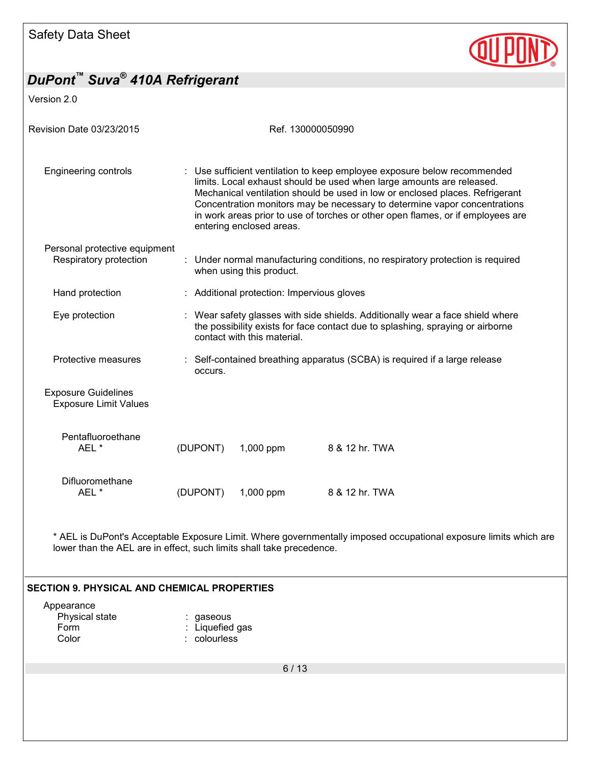

Version 2.0

| <b>Revision Date 03/23/2015</b>                            | Ref. 130000050990 |                                                                                                                                                                                                                                                                                                                                                                                                                             |                                                                                |  |  |  |
|------------------------------------------------------------|-------------------|-----------------------------------------------------------------------------------------------------------------------------------------------------------------------------------------------------------------------------------------------------------------------------------------------------------------------------------------------------------------------------------------------------------------------------|--------------------------------------------------------------------------------|--|--|--|
| Engineering controls                                       |                   | Use sufficient ventilation to keep employee exposure below recommended<br>limits. Local exhaust should be used when large amounts are released.<br>Mechanical ventilation should be used in low or enclosed places. Refrigerant<br>Concentration monitors may be necessary to determine vapor concentrations<br>in work areas prior to use of torches or other open flames, or if employees are<br>entering enclosed areas. |                                                                                |  |  |  |
| Personal protective equipment<br>Respiratory protection    |                   | when using this product.                                                                                                                                                                                                                                                                                                                                                                                                    | : Under normal manufacturing conditions, no respiratory protection is required |  |  |  |
| Hand protection                                            |                   | : Additional protection: Impervious gloves                                                                                                                                                                                                                                                                                                                                                                                  |                                                                                |  |  |  |
| Eye protection                                             |                   | : Wear safety glasses with side shields. Additionally wear a face shield where<br>the possibility exists for face contact due to splashing, spraying or airborne<br>contact with this material.                                                                                                                                                                                                                             |                                                                                |  |  |  |
| Protective measures                                        | occurs.           |                                                                                                                                                                                                                                                                                                                                                                                                                             | : Self-contained breathing apparatus (SCBA) is required if a large release     |  |  |  |
| <b>Exposure Guidelines</b><br><b>Exposure Limit Values</b> |                   |                                                                                                                                                                                                                                                                                                                                                                                                                             |                                                                                |  |  |  |
| Pentafluoroethane<br>AEL *                                 | (DUPONT)          | 1,000 ppm                                                                                                                                                                                                                                                                                                                                                                                                                   | 8 & 12 hr. TWA                                                                 |  |  |  |
| Difluoromethane<br>AFL <sup>*</sup>                        | (DUPONT)          | 1,000 ppm                                                                                                                                                                                                                                                                                                                                                                                                                   | 8 & 12 hr. TWA                                                                 |  |  |  |

\* AEL is DuPont's Acceptable Exposure Limit. Where governmentally imposed occupational exposure limits which are lower than the AEL are in effect, such limits shall take precedence.

#### **SECTION 9. PHYSICAL AND CHEMICAL PROPERTIES**

| : gaseous       |
|-----------------|
| : Liquefied gas |
| : colourless    |
|                 |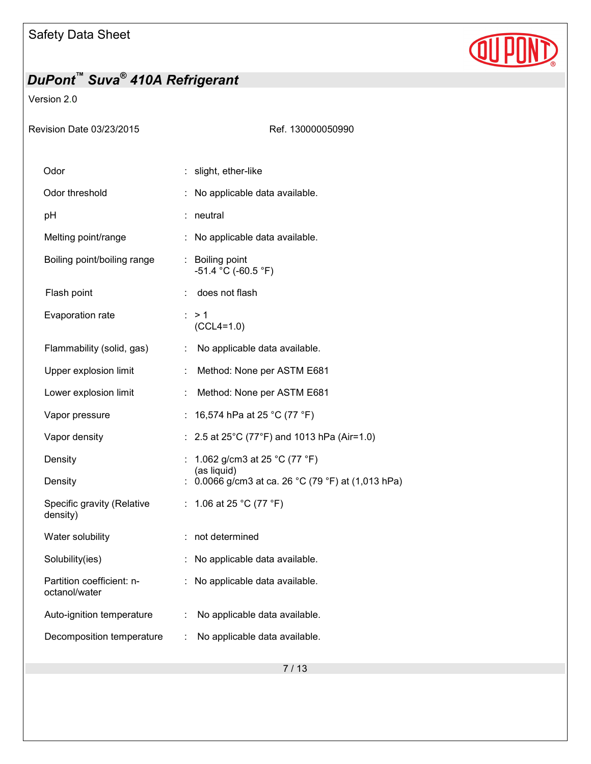

#### Version 2.0

Ref. 130000050990

| Odor                                       |    | slight, ether-like                               |
|--------------------------------------------|----|--------------------------------------------------|
| Odor threshold                             |    | No applicable data available.                    |
| рH                                         |    | neutral                                          |
| Melting point/range                        |    | No applicable data available.                    |
| Boiling point/boiling range                |    | : Boiling point<br>$-51.4$ °C (-60.5 °F)         |
| Flash point                                |    | does not flash                                   |
| Evaporation rate                           |    | : > 1<br>$(CCL4=1.0)$                            |
| Flammability (solid, gas)                  | ÷  | No applicable data available.                    |
| Upper explosion limit                      | ÷  | Method: None per ASTM E681                       |
| Lower explosion limit                      | t, | Method: None per ASTM E681                       |
| Vapor pressure                             |    | 16,574 hPa at 25 °C (77 °F)                      |
| Vapor density                              |    | 2.5 at 25°C (77°F) and 1013 hPa (Air=1.0)        |
| Density                                    |    | 1.062 g/cm3 at 25 °C (77 °F)<br>(as liquid)      |
| Density                                    |    | 0.0066 g/cm3 at ca. 26 °C (79 °F) at (1,013 hPa) |
| Specific gravity (Relative<br>density)     | ÷. | 1.06 at 25 °C (77 °F)                            |
| Water solubility                           |    | not determined                                   |
| Solubility(ies)                            | t. | No applicable data available.                    |
| Partition coefficient: n-<br>octanol/water |    | No applicable data available.                    |
| Auto-ignition temperature                  | ÷  | No applicable data available.                    |
| Decomposition temperature                  | ÷. | No applicable data available.                    |
|                                            |    |                                                  |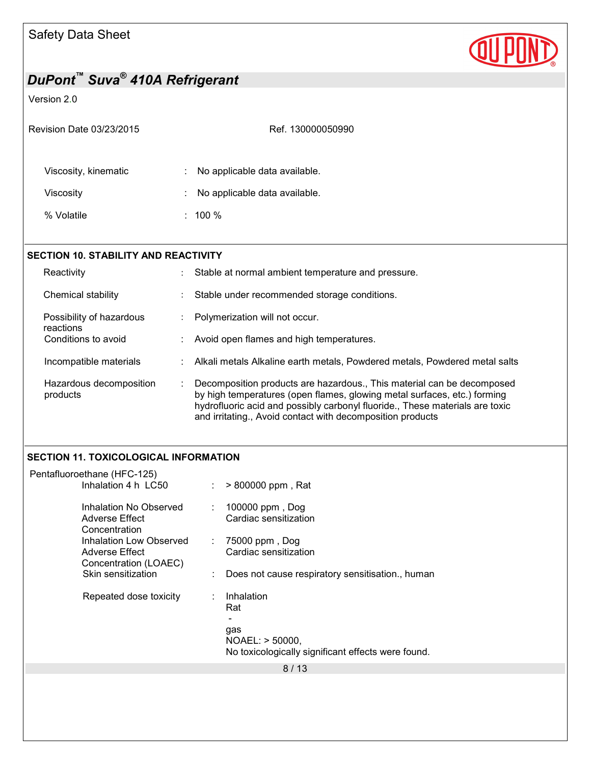

#### Version 2.0

| Revision Date 03/23/2015                                                        | Ref. 130000050990                                                                                                         |  |
|---------------------------------------------------------------------------------|---------------------------------------------------------------------------------------------------------------------------|--|
| Viscosity, kinematic<br>Viscosity<br>% Volatile                                 | No applicable data available.<br>No applicable data available.<br>$: 100 \%$                                              |  |
| <b>SECTION 10. STABILITY AND REACTIVITY</b><br>Reactivity<br>Chemical stability | Stable at normal ambient temperature and pressure.<br>$\ddot{\cdot}$<br>Stable under recommended storage conditions.<br>÷ |  |

#### Possibility of hazardous reactions : Polymerization will not occur.

| Conditions to avoid |  | Avoid open flames and high temperatures. |
|---------------------|--|------------------------------------------|
|---------------------|--|------------------------------------------|

#### Incompatible materials : Alkali metals Alkaline earth metals, Powdered metals, Powdered metal salts

Hazardous decomposition products : Decomposition products are hazardous., This material can be decomposed by high temperatures (open flames, glowing metal surfaces, etc.) forming hydrofluoric acid and possibly carbonyl fluoride., These materials are toxic and irritating., Avoid contact with decomposition products

#### **SECTION 11. TOXICOLOGICAL INFORMATION**

| Pentafluoroethane (HFC-125)                                        |    |                                                                       |
|--------------------------------------------------------------------|----|-----------------------------------------------------------------------|
| Inhalation 4 h LC50                                                |    | > 800000 ppm, Rat                                                     |
| Inhalation No Observed<br>Adverse Effect<br>Concentration          | ÷. | 100000 ppm, Dog<br>Cardiac sensitization                              |
| Inhalation Low Observed<br>Adverse Effect<br>Concentration (LOAEC) | ÷  | 75000 ppm, Dog<br>Cardiac sensitization                               |
| Skin sensitization                                                 |    | Does not cause respiratory sensitisation., human                      |
| Repeated dose toxicity                                             |    | Inhalation<br>Rat<br>gas                                              |
|                                                                    |    | NOAEL: > 50000,<br>No toxicologically significant effects were found. |
|                                                                    |    | 8 / 13                                                                |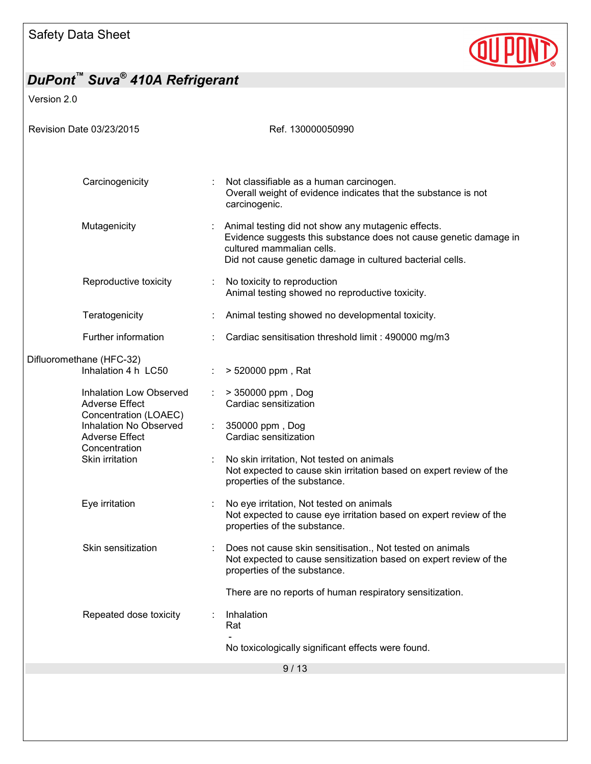

Version 2.0

| Revision Date 03/23/2015                                                                                                                                         | Ref. 130000050990                                                                                                                                                                                                 |
|------------------------------------------------------------------------------------------------------------------------------------------------------------------|-------------------------------------------------------------------------------------------------------------------------------------------------------------------------------------------------------------------|
|                                                                                                                                                                  |                                                                                                                                                                                                                   |
| Carcinogenicity                                                                                                                                                  | Not classifiable as a human carcinogen.<br>Overall weight of evidence indicates that the substance is not<br>carcinogenic.                                                                                        |
| Mutagenicity                                                                                                                                                     | Animal testing did not show any mutagenic effects.<br>Evidence suggests this substance does not cause genetic damage in<br>cultured mammalian cells.<br>Did not cause genetic damage in cultured bacterial cells. |
| Reproductive toxicity                                                                                                                                            | No toxicity to reproduction<br>Animal testing showed no reproductive toxicity.                                                                                                                                    |
| Teratogenicity                                                                                                                                                   | Animal testing showed no developmental toxicity.                                                                                                                                                                  |
| Further information                                                                                                                                              | Cardiac sensitisation threshold limit : 490000 mg/m3                                                                                                                                                              |
| Difluoromethane (HFC-32)<br>Inhalation 4 h LC50                                                                                                                  | > 520000 ppm, Rat                                                                                                                                                                                                 |
| Inhalation Low Observed<br><b>Adverse Effect</b><br>Concentration (LOAEC)<br>Inhalation No Observed<br><b>Adverse Effect</b><br>Concentration<br>Skin irritation | > 350000 ppm, Dog<br>Cardiac sensitization                                                                                                                                                                        |
|                                                                                                                                                                  | 350000 ppm, Dog<br>Cardiac sensitization                                                                                                                                                                          |
|                                                                                                                                                                  | No skin irritation, Not tested on animals<br>Not expected to cause skin irritation based on expert review of the<br>properties of the substance.                                                                  |
| Eye irritation                                                                                                                                                   | No eye irritation, Not tested on animals<br>Not expected to cause eye irritation based on expert review of the<br>properties of the substance.                                                                    |
| Skin sensitization                                                                                                                                               | Does not cause skin sensitisation., Not tested on animals<br>Not expected to cause sensitization based on expert review of the<br>properties of the substance.                                                    |
|                                                                                                                                                                  | There are no reports of human respiratory sensitization.                                                                                                                                                          |
| Repeated dose toxicity                                                                                                                                           | Inhalation<br>Rat                                                                                                                                                                                                 |
|                                                                                                                                                                  | No toxicologically significant effects were found.                                                                                                                                                                |
|                                                                                                                                                                  | 9/13                                                                                                                                                                                                              |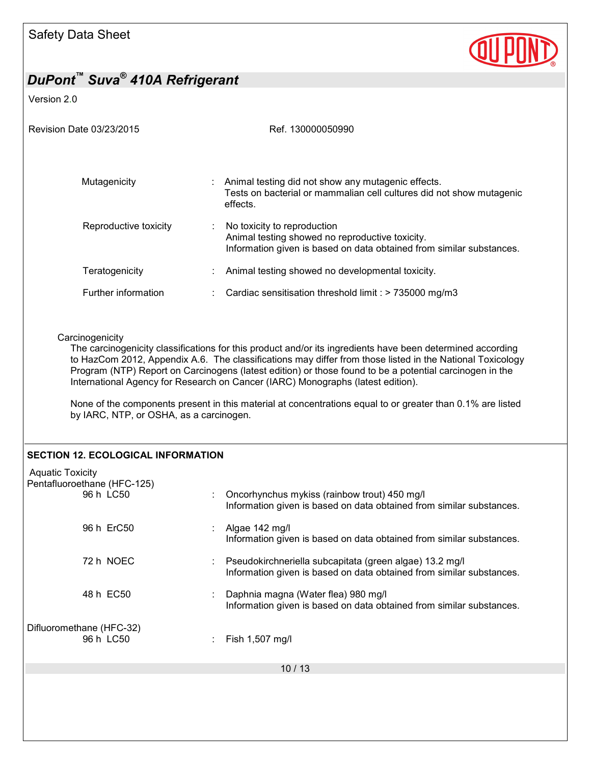

Version 2.0

| Revision Date 03/23/2015                                                                                                                                                                                                                                                                                                                                                                                                                                                                                                                                                       | Ref. 130000050990                                                                                                                                      |  |  |  |
|--------------------------------------------------------------------------------------------------------------------------------------------------------------------------------------------------------------------------------------------------------------------------------------------------------------------------------------------------------------------------------------------------------------------------------------------------------------------------------------------------------------------------------------------------------------------------------|--------------------------------------------------------------------------------------------------------------------------------------------------------|--|--|--|
| Mutagenicity                                                                                                                                                                                                                                                                                                                                                                                                                                                                                                                                                                   | Animal testing did not show any mutagenic effects.<br>Tests on bacterial or mammalian cell cultures did not show mutagenic<br>effects.                 |  |  |  |
| Reproductive toxicity                                                                                                                                                                                                                                                                                                                                                                                                                                                                                                                                                          | No toxicity to reproduction<br>Animal testing showed no reproductive toxicity.<br>Information given is based on data obtained from similar substances. |  |  |  |
| Teratogenicity                                                                                                                                                                                                                                                                                                                                                                                                                                                                                                                                                                 | Animal testing showed no developmental toxicity.                                                                                                       |  |  |  |
| Further information                                                                                                                                                                                                                                                                                                                                                                                                                                                                                                                                                            | Cardiac sensitisation threshold limit : > 735000 mg/m3                                                                                                 |  |  |  |
| The carcinogenicity classifications for this product and/or its ingredients have been determined according<br>to HazCom 2012, Appendix A.6. The classifications may differ from those listed in the National Toxicology<br>Program (NTP) Report on Carcinogens (latest edition) or those found to be a potential carcinogen in the<br>International Agency for Research on Cancer (IARC) Monographs (latest edition).<br>None of the components present in this material at concentrations equal to or greater than 0.1% are listed<br>by IARC, NTP, or OSHA, as a carcinogen. |                                                                                                                                                        |  |  |  |
| <b>SECTION 12. ECOLOGICAL INFORMATION</b>                                                                                                                                                                                                                                                                                                                                                                                                                                                                                                                                      |                                                                                                                                                        |  |  |  |
| <b>Aquatic Toxicity</b><br>Pentafluoroethane (HFC-125)<br>96 h LC50                                                                                                                                                                                                                                                                                                                                                                                                                                                                                                            | Oncorhynchus mykiss (rainbow trout) 450 mg/l<br>Information given is based on data obtained from similar substances.                                   |  |  |  |
| 96 h ErC50                                                                                                                                                                                                                                                                                                                                                                                                                                                                                                                                                                     | Algae 142 mg/l<br>Information given is based on data obtained from similar substances.                                                                 |  |  |  |
| 72 h NOEC                                                                                                                                                                                                                                                                                                                                                                                                                                                                                                                                                                      | Pseudokirchneriella subcapitata (green algae) 13.2 mg/l<br>Information given is based on data obtained from similar substances.                        |  |  |  |
| 48 h EC50                                                                                                                                                                                                                                                                                                                                                                                                                                                                                                                                                                      | Daphnia magna (Water flea) 980 mg/l<br>Information given is based on data obtained from similar substances.                                            |  |  |  |
| Difluoromethane (HFC-32)<br>96 h LC50                                                                                                                                                                                                                                                                                                                                                                                                                                                                                                                                          | Fish 1,507 mg/l                                                                                                                                        |  |  |  |
|                                                                                                                                                                                                                                                                                                                                                                                                                                                                                                                                                                                | 10/13                                                                                                                                                  |  |  |  |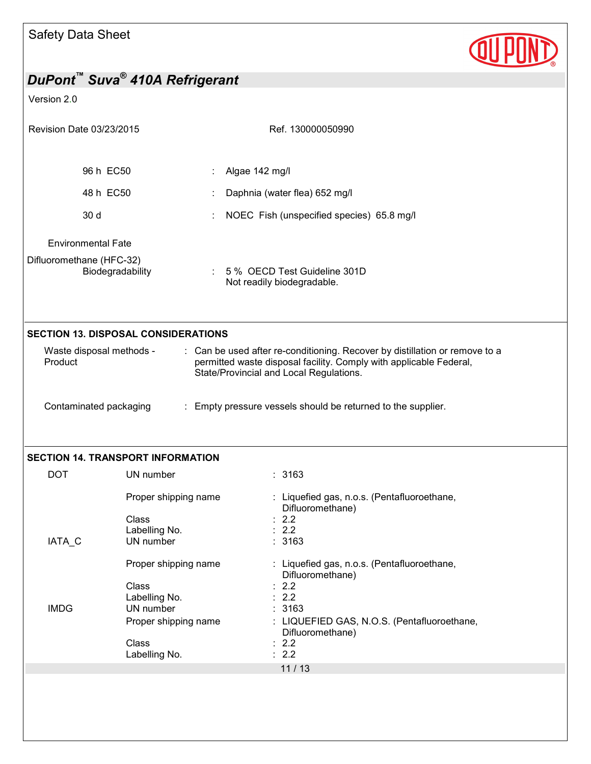| Safety Data Sheet                                                                                                                                                                                                                   |                                                                                       |                                                                                                       |  |  |
|-------------------------------------------------------------------------------------------------------------------------------------------------------------------------------------------------------------------------------------|---------------------------------------------------------------------------------------|-------------------------------------------------------------------------------------------------------|--|--|
| DuPont <sup>™</sup> Suva <sup>®</sup> 410A Refrigerant                                                                                                                                                                              |                                                                                       |                                                                                                       |  |  |
| Version 2.0                                                                                                                                                                                                                         |                                                                                       |                                                                                                       |  |  |
| Revision Date 03/23/2015                                                                                                                                                                                                            |                                                                                       | Ref. 130000050990                                                                                     |  |  |
| 96 h EC50                                                                                                                                                                                                                           |                                                                                       | Algae 142 mg/l                                                                                        |  |  |
| 48 h EC50                                                                                                                                                                                                                           |                                                                                       | Daphnia (water flea) 652 mg/l                                                                         |  |  |
| 30 d                                                                                                                                                                                                                                |                                                                                       | NOEC Fish (unspecified species) 65.8 mg/l                                                             |  |  |
| <b>Environmental Fate</b>                                                                                                                                                                                                           |                                                                                       |                                                                                                       |  |  |
| Difluoromethane (HFC-32)                                                                                                                                                                                                            | Biodegradability                                                                      | 5 % OECD Test Guideline 301D<br>Not readily biodegradable.                                            |  |  |
| <b>SECTION 13. DISPOSAL CONSIDERATIONS</b>                                                                                                                                                                                          |                                                                                       |                                                                                                       |  |  |
| : Can be used after re-conditioning. Recover by distillation or remove to a<br>Waste disposal methods -<br>Product<br>permitted waste disposal facility. Comply with applicable Federal,<br>State/Provincial and Local Regulations. |                                                                                       |                                                                                                       |  |  |
| Contaminated packaging<br>: Empty pressure vessels should be returned to the supplier.                                                                                                                                              |                                                                                       |                                                                                                       |  |  |
|                                                                                                                                                                                                                                     | <b>SECTION 14. TRANSPORT INFORMATION</b>                                              |                                                                                                       |  |  |
| <b>DOT</b>                                                                                                                                                                                                                          | UN number                                                                             | : 3163                                                                                                |  |  |
| IATA_C                                                                                                                                                                                                                              | Proper shipping name<br>Class<br>Labelling No.<br>UN number                           | : Liquefied gas, n.o.s. (Pentafluoroethane,<br>Difluoromethane)<br>2.2<br>2.2<br>3163                 |  |  |
|                                                                                                                                                                                                                                     | Proper shipping name                                                                  | : Liquefied gas, n.o.s. (Pentafluoroethane,<br>Difluoromethane)                                       |  |  |
| <b>IMDG</b>                                                                                                                                                                                                                         | Class<br>Labelling No.<br>UN number<br>Proper shipping name<br>Class<br>Labelling No. | 2.2<br>2.2<br>3163<br>LIQUEFIED GAS, N.O.S. (Pentafluoroethane,<br>Difluoromethane)<br>: 2.2<br>: 2.2 |  |  |
|                                                                                                                                                                                                                                     |                                                                                       | 11/13                                                                                                 |  |  |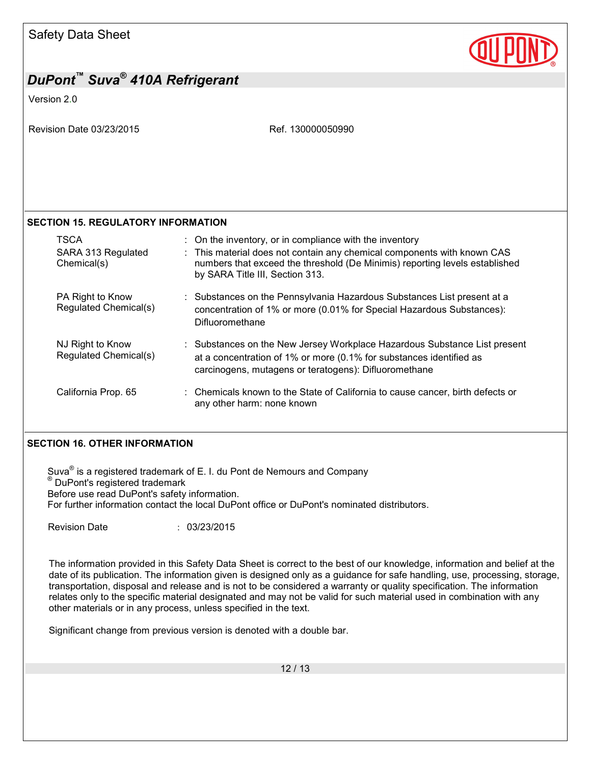

### *DuPont™ Suva® 410A Refrigerant*  Version 2.0 Revision Date 03/23/2015 Revision Date 03/23/2015 **SECTION 15. REGULATORY INFORMATION**  TSCA **:** On the inventory, or in compliance with the inventory SARA 313 Regulated Chemical(s) : This material does not contain any chemical components with known CAS numbers that exceed the threshold (De Minimis) reporting levels established by SARA Title III, Section 313. PA Right to Know Regulated Chemical(s) : Substances on the Pennsylvania Hazardous Substances List present at a concentration of 1% or more (0.01% for Special Hazardous Substances): Difluoromethane NJ Right to Know Regulated Chemical(s) : Substances on the New Jersey Workplace Hazardous Substance List present at a concentration of 1% or more (0.1% for substances identified as carcinogens, mutagens or teratogens): Difluoromethane California Prop. 65 : Chemicals known to the State of California to cause cancer, birth defects or any other harm: none known **SECTION 16. OTHER INFORMATION**  Suva<sup>®</sup> is a registered trademark of E. I. du Pont de Nemours and Company ® DuPont's registered trademark Before use read DuPont's safety information. For further information contact the local DuPont office or DuPont's nominated distributors. Revision Date : 03/23/2015 The information provided in this Safety Data Sheet is correct to the best of our knowledge, information and belief at the date of its publication. The information given is designed only as a guidance for safe handling, use, processing, storage, transportation, disposal and release and is not to be considered a warranty or quality specification. The information relates only to the specific material designated and may not be valid for such material used in combination with any other materials or in any process, unless specified in the text. Significant change from previous version is denoted with a double bar.